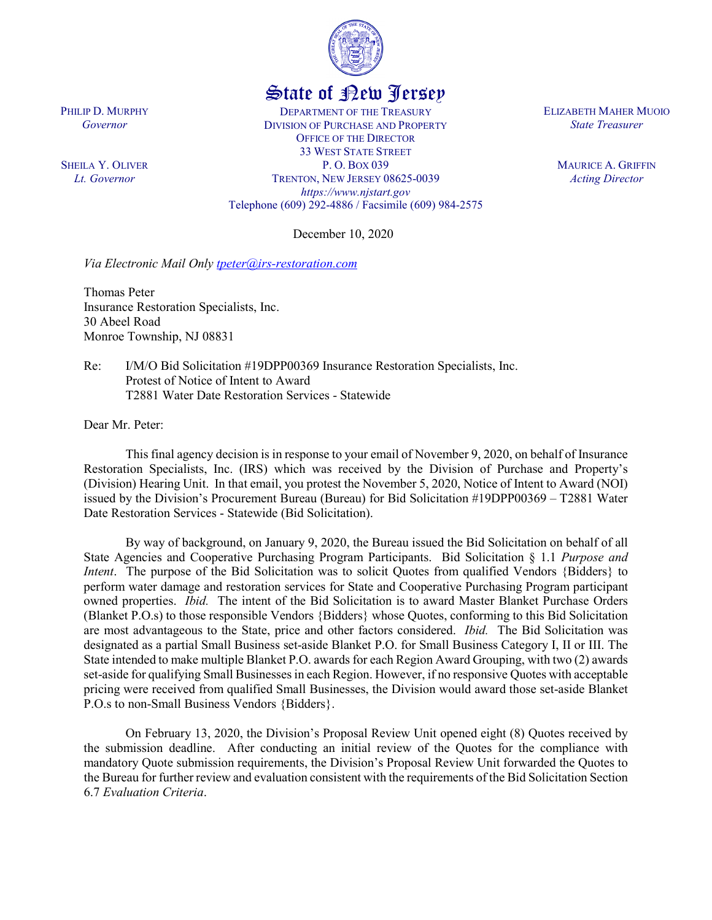

## State of New Jersey

DEPARTMENT OF THE TREASURY DIVISION OF PURCHASE AND PROPERTY OFFICE OF THE DIRECTOR 33 WEST STATE STREET P. O. BOX 039 TRENTON, NEW JERSEY 08625-0039 *https://www.njstart.gov* Telephone (609) 292-4886 / Facsimile (609) 984-2575

December 10, 2020

*Via Electronic Mail Only [tpeter@irs-restoration.com](mailto:tpeter@irs-restoration.com)*

Thomas Peter Insurance Restoration Specialists, Inc. 30 Abeel Road Monroe Township, NJ 08831

Re: I/M/O Bid Solicitation #19DPP00369 Insurance Restoration Specialists, Inc. Protest of Notice of Intent to Award T2881 Water Date Restoration Services - Statewide

Dear Mr. Peter:

PHILIP D. MURPHY *Governor*

SHEILA Y. OLIVER *Lt. Governor*

> This final agency decision is in response to your email of November 9, 2020, on behalf of Insurance Restoration Specialists, Inc. (IRS) which was received by the Division of Purchase and Property's (Division) Hearing Unit. In that email, you protest the November 5, 2020, Notice of Intent to Award (NOI) issued by the Division's Procurement Bureau (Bureau) for Bid Solicitation #19DPP00369 – T2881 Water Date Restoration Services - Statewide (Bid Solicitation).

> By way of background, on January 9, 2020, the Bureau issued the Bid Solicitation on behalf of all State Agencies and Cooperative Purchasing Program Participants. Bid Solicitation § 1.1 *Purpose and Intent.* The purpose of the Bid Solicitation was to solicit Quotes from qualified Vendors {Bidders} to perform water damage and restoration services for State and Cooperative Purchasing Program participant owned properties. *Ibid.* The intent of the Bid Solicitation is to award Master Blanket Purchase Orders (Blanket P.O.s) to those responsible Vendors {Bidders} whose Quotes, conforming to this Bid Solicitation are most advantageous to the State, price and other factors considered. *Ibid.* The Bid Solicitation was designated as a partial Small Business set-aside Blanket P.O. for Small Business Category I, II or III. The State intended to make multiple Blanket P.O. awards for each Region Award Grouping, with two (2) awards set-aside for qualifying Small Businesses in each Region. However, if no responsive Quotes with acceptable pricing were received from qualified Small Businesses, the Division would award those set-aside Blanket P.O.s to non-Small Business Vendors {Bidders}.

> On February 13, 2020, the Division's Proposal Review Unit opened eight (8) Quotes received by the submission deadline. After conducting an initial review of the Quotes for the compliance with mandatory Quote submission requirements, the Division's Proposal Review Unit forwarded the Quotes to the Bureau for further review and evaluation consistent with the requirements of the Bid Solicitation Section 6.7 *Evaluation Criteria*.

ELIZABETH MAHER MUOIO *State Treasurer*

> MAURICE A. GRIFFIN *Acting Director*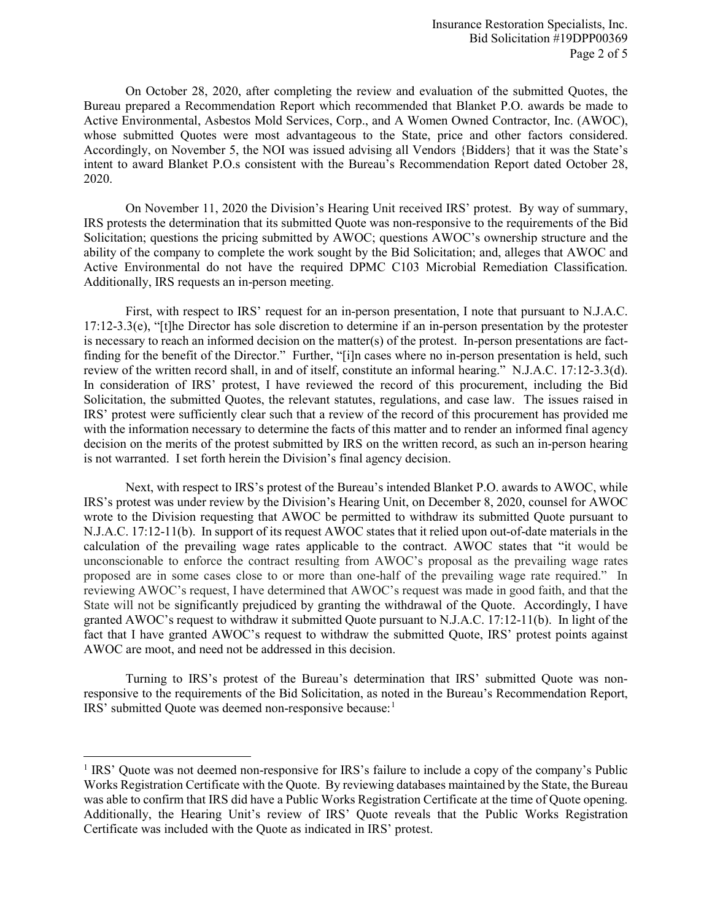On October 28, 2020, after completing the review and evaluation of the submitted Quotes, the Bureau prepared a Recommendation Report which recommended that Blanket P.O. awards be made to Active Environmental, Asbestos Mold Services, Corp., and A Women Owned Contractor, Inc. (AWOC), whose submitted Quotes were most advantageous to the State, price and other factors considered. Accordingly, on November 5, the NOI was issued advising all Vendors {Bidders} that it was the State's intent to award Blanket P.O.s consistent with the Bureau's Recommendation Report dated October 28, 2020.

On November 11, 2020 the Division's Hearing Unit received IRS' protest. By way of summary, IRS protests the determination that its submitted Quote was non-responsive to the requirements of the Bid Solicitation; questions the pricing submitted by AWOC; questions AWOC's ownership structure and the ability of the company to complete the work sought by the Bid Solicitation; and, alleges that AWOC and Active Environmental do not have the required DPMC C103 Microbial Remediation Classification. Additionally, IRS requests an in-person meeting.

First, with respect to IRS' request for an in-person presentation, I note that pursuant to N.J.A.C. 17:12-3.3(e), "[t]he Director has sole discretion to determine if an in-person presentation by the protester is necessary to reach an informed decision on the matter(s) of the protest. In-person presentations are factfinding for the benefit of the Director." Further, "[i]n cases where no in-person presentation is held, such review of the written record shall, in and of itself, constitute an informal hearing." N.J.A.C. 17:12-3.3(d). In consideration of IRS' protest, I have reviewed the record of this procurement, including the Bid Solicitation, the submitted Quotes, the relevant statutes, regulations, and case law. The issues raised in IRS' protest were sufficiently clear such that a review of the record of this procurement has provided me with the information necessary to determine the facts of this matter and to render an informed final agency decision on the merits of the protest submitted by IRS on the written record, as such an in-person hearing is not warranted. I set forth herein the Division's final agency decision.

Next, with respect to IRS's protest of the Bureau's intended Blanket P.O. awards to AWOC, while IRS's protest was under review by the Division's Hearing Unit, on December 8, 2020, counsel for AWOC wrote to the Division requesting that AWOC be permitted to withdraw its submitted Quote pursuant to N.J.A.C. 17:12-11(b). In support of its request AWOC states that it relied upon out-of-date materials in the calculation of the prevailing wage rates applicable to the contract. AWOC states that "it would be unconscionable to enforce the contract resulting from AWOC's proposal as the prevailing wage rates proposed are in some cases close to or more than one-half of the prevailing wage rate required." In reviewing AWOC's request, I have determined that AWOC's request was made in good faith, and that the State will not be significantly prejudiced by granting the withdrawal of the Quote. Accordingly, I have granted AWOC's request to withdraw it submitted Quote pursuant to N.J.A.C. 17:12-11(b). In light of the fact that I have granted AWOC's request to withdraw the submitted Quote, IRS' protest points against AWOC are moot, and need not be addressed in this decision.

Turning to IRS's protest of the Bureau's determination that IRS' submitted Quote was nonresponsive to the requirements of the Bid Solicitation, as noted in the Bureau's Recommendation Report, IRS' submitted Quote was deemed non-responsive because: [1](#page-1-0)

l

<span id="page-1-0"></span><sup>&</sup>lt;sup>1</sup> IRS' Quote was not deemed non-responsive for IRS's failure to include a copy of the company's Public Works Registration Certificate with the Quote. By reviewing databases maintained by the State, the Bureau was able to confirm that IRS did have a Public Works Registration Certificate at the time of Quote opening. Additionally, the Hearing Unit's review of IRS' Quote reveals that the Public Works Registration Certificate was included with the Quote as indicated in IRS' protest.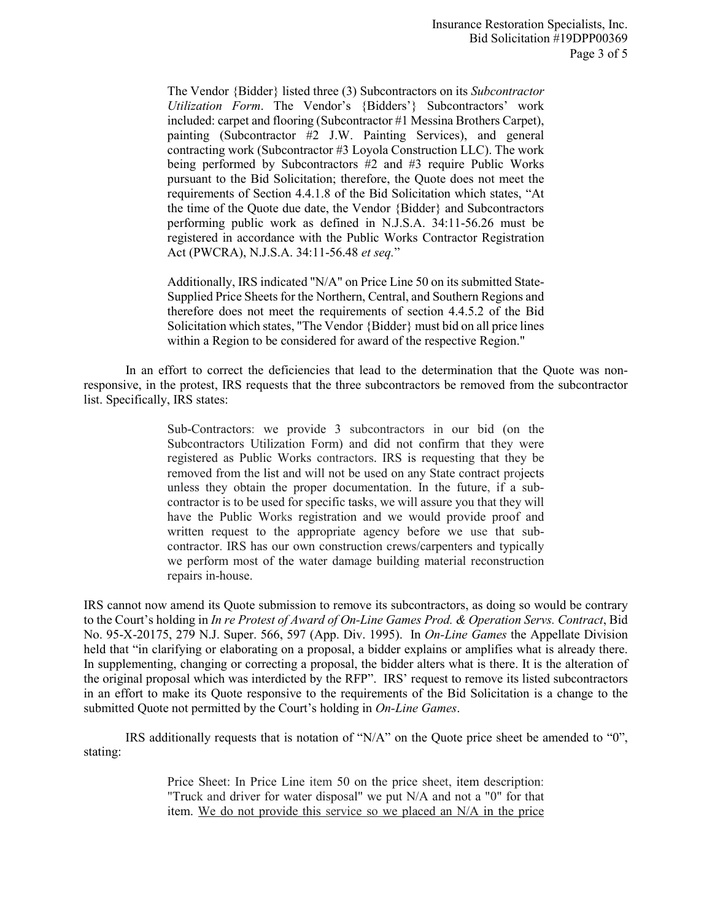The Vendor {Bidder} listed three (3) Subcontractors on its *Subcontractor Utilization Form*. The Vendor's {Bidders'} Subcontractors' work included: carpet and flooring (Subcontractor #1 Messina Brothers Carpet), painting (Subcontractor #2 J.W. Painting Services), and general contracting work (Subcontractor #3 Loyola Construction LLC). The work being performed by Subcontractors #2 and #3 require Public Works pursuant to the Bid Solicitation; therefore, the Quote does not meet the requirements of Section 4.4.1.8 of the Bid Solicitation which states, "At the time of the Quote due date, the Vendor {Bidder} and Subcontractors performing public work as defined in N.J.S.A. 34:11-56.26 must be registered in accordance with the Public Works Contractor Registration Act (PWCRA), N.J.S.A. 34:11-56.48 *et seq.*"

Additionally, IRS indicated "N/A" on Price Line 50 on its submitted State-Supplied Price Sheets for the Northern, Central, and Southern Regions and therefore does not meet the requirements of section 4.4.5.2 of the Bid Solicitation which states, "The Vendor {Bidder} must bid on all price lines within a Region to be considered for award of the respective Region."

In an effort to correct the deficiencies that lead to the determination that the Quote was nonresponsive, in the protest, IRS requests that the three subcontractors be removed from the subcontractor list. Specifically, IRS states:

> Sub-Contractors: we provide 3 subcontractors in our bid (on the Subcontractors Utilization Form) and did not confirm that they were registered as Public Works contractors. IRS is requesting that they be removed from the list and will not be used on any State contract projects unless they obtain the proper documentation. In the future, if a subcontractor is to be used for specific tasks, we will assure you that they will have the Public Works registration and we would provide proof and written request to the appropriate agency before we use that subcontractor. IRS has our own construction crews/carpenters and typically we perform most of the water damage building material reconstruction repairs in-house.

IRS cannot now amend its Quote submission to remove its subcontractors, as doing so would be contrary to the Court's holding in *In re Protest of Award of On-Line Games Prod. & Operation Servs. Contract*, Bid No. 95-X-20175, 279 N.J. Super. 566, 597 (App. Div. 1995). In *On-Line Games* the Appellate Division held that "in clarifying or elaborating on a proposal, a bidder explains or amplifies what is already there. In supplementing, changing or correcting a proposal, the bidder alters what is there. It is the alteration of the original proposal which was interdicted by the RFP". IRS' request to remove its listed subcontractors in an effort to make its Quote responsive to the requirements of the Bid Solicitation is a change to the submitted Quote not permitted by the Court's holding in *On-Line Games*.

IRS additionally requests that is notation of "N/A" on the Quote price sheet be amended to "0", stating:

> Price Sheet: In Price Line item 50 on the price sheet, item description: "Truck and driver for water disposal" we put N/A and not a "0" for that item. We do not provide this service so we placed an N/A in the price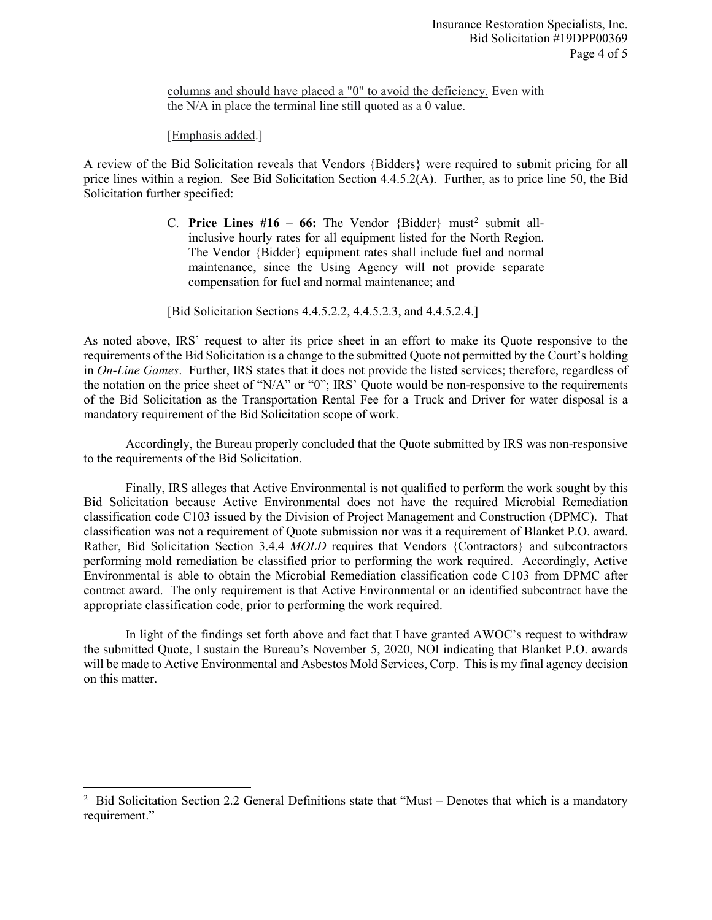columns and should have placed a "0" to avoid the deficiency. Even with the N/A in place the terminal line still quoted as a 0 value.

[Emphasis added.]

 $\overline{\phantom{a}}$ 

A review of the Bid Solicitation reveals that Vendors {Bidders} were required to submit pricing for all price lines within a region. See Bid Solicitation Section 4.4.5.2(A). Further, as to price line 50, the Bid Solicitation further specified:

> C. **Price Lines #16 – 66:** The Vendor {Bidder} must<sup>[2](#page-3-0)</sup> submit allinclusive hourly rates for all equipment listed for the North Region. The Vendor {Bidder} equipment rates shall include fuel and normal maintenance, since the Using Agency will not provide separate compensation for fuel and normal maintenance; and

[Bid Solicitation Sections 4.4.5.2.2, 4.4.5.2.3, and 4.4.5.2.4.]

As noted above, IRS' request to alter its price sheet in an effort to make its Quote responsive to the requirements of the Bid Solicitation is a change to the submitted Quote not permitted by the Court's holding in *On-Line Games*. Further, IRS states that it does not provide the listed services; therefore, regardless of the notation on the price sheet of "N/A" or "0"; IRS' Quote would be non-responsive to the requirements of the Bid Solicitation as the Transportation Rental Fee for a Truck and Driver for water disposal is a mandatory requirement of the Bid Solicitation scope of work.

Accordingly, the Bureau properly concluded that the Quote submitted by IRS was non-responsive to the requirements of the Bid Solicitation.

Finally, IRS alleges that Active Environmental is not qualified to perform the work sought by this Bid Solicitation because Active Environmental does not have the required Microbial Remediation classification code C103 issued by the Division of Project Management and Construction (DPMC). That classification was not a requirement of Quote submission nor was it a requirement of Blanket P.O. award. Rather, Bid Solicitation Section 3.4.4 *MOLD* requires that Vendors {Contractors} and subcontractors performing mold remediation be classified prior to performing the work required. Accordingly, Active Environmental is able to obtain the Microbial Remediation classification code C103 from DPMC after contract award. The only requirement is that Active Environmental or an identified subcontract have the appropriate classification code, prior to performing the work required.

In light of the findings set forth above and fact that I have granted AWOC's request to withdraw the submitted Quote, I sustain the Bureau's November 5, 2020, NOI indicating that Blanket P.O. awards will be made to Active Environmental and Asbestos Mold Services, Corp. This is my final agency decision on this matter.

<span id="page-3-0"></span><sup>&</sup>lt;sup>2</sup> Bid Solicitation Section 2.2 General Definitions state that "Must – Denotes that which is a mandatory requirement."